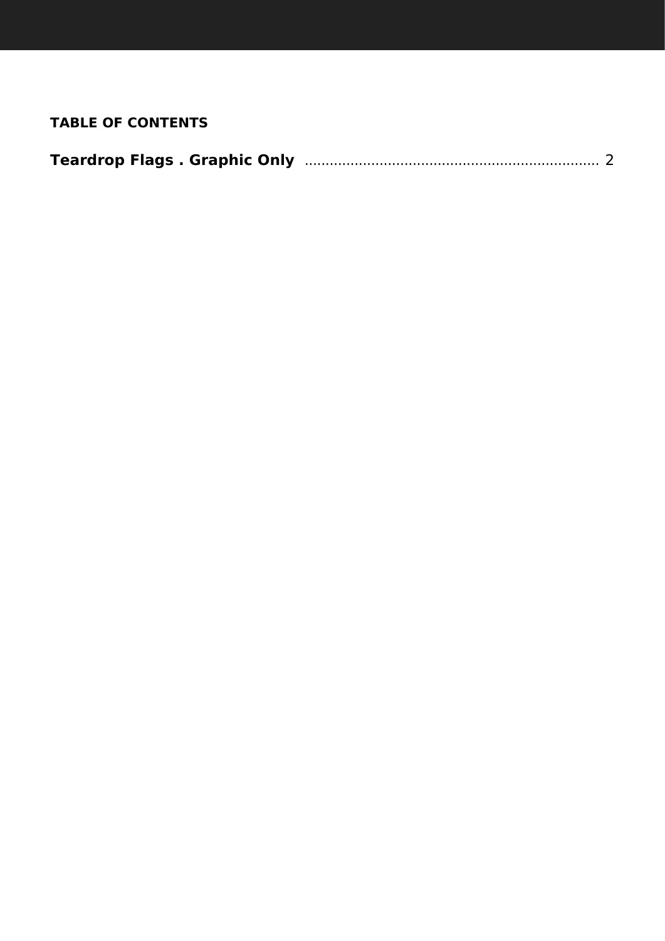# **TABLE OF CONTENTS**

| <b>Teardrop Flags . Graphic Only</b> |  |
|--------------------------------------|--|
|--------------------------------------|--|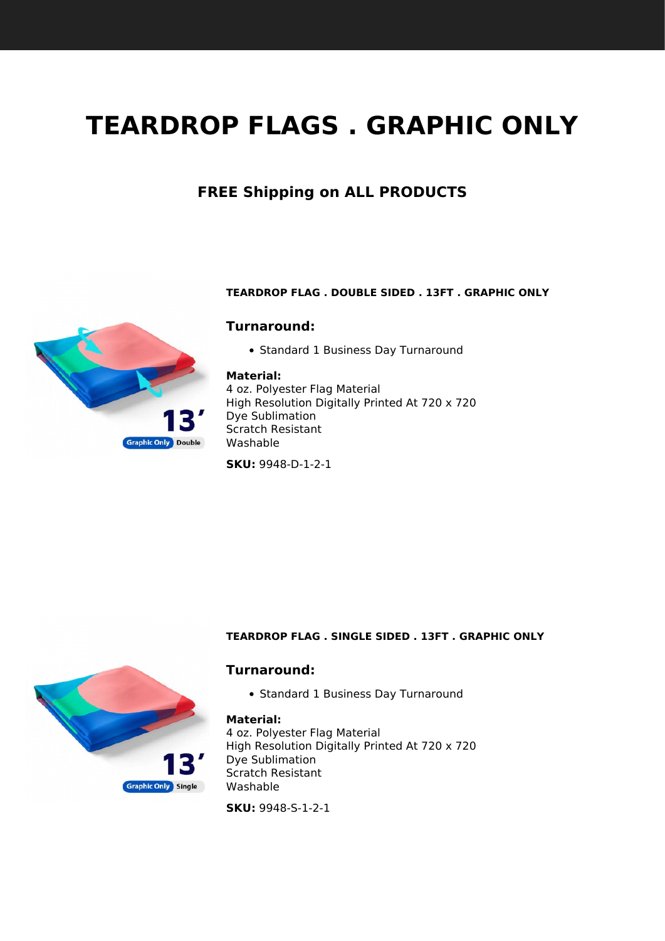# <span id="page-1-1"></span><span id="page-1-0"></span>**TEARDROP FLAGS . GRAPHIC ONLY**

# **FREE Shipping on ALL PRODUCTS**



## **Turnaround:**

• Standard 1 Business Day Turnaround

#### **Material:**

4 oz. Polyester Flag Material High Resolution Digitally Printed At 720 x 720 Dye Sublimation Scratch Resistant Washable

**SKU:** 9948-D-1-2-1



**Graphic Only Double** 

#### **TEARDROP FLAG . SINGLE SIDED . 13FT . GRAPHIC ONLY**

## **Turnaround:**

• Standard 1 Business Day Turnaround

#### **Material:**

4 oz. Polyester Flag Material High Resolution Digitally Printed At 720 x 720 Dye Sublimation Scratch Resistant Washable

**SKU:** 9948-S-1-2-1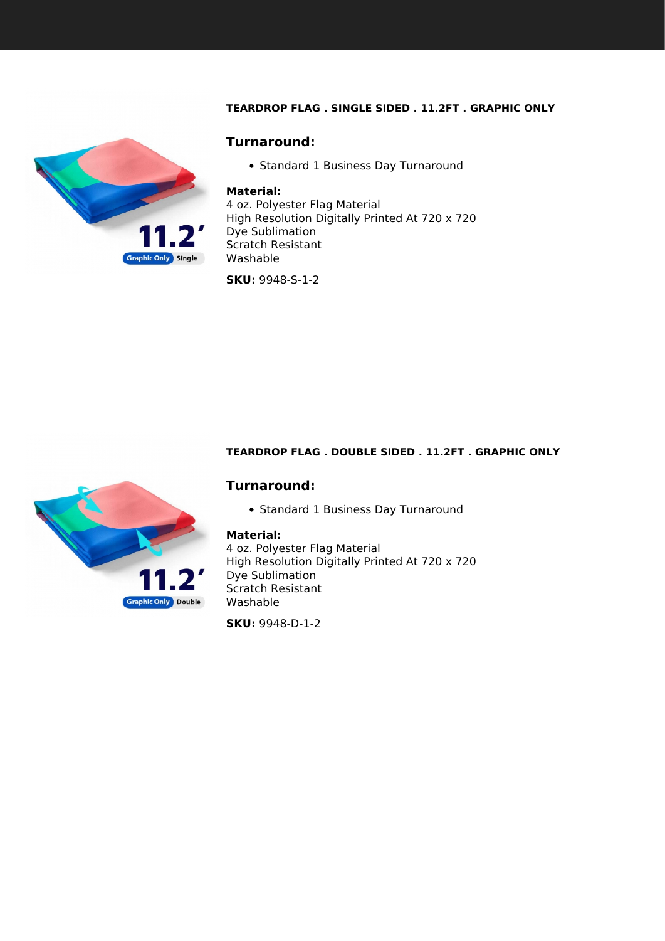## **TEARDROP FLAG . SINGLE SIDED . 11.2FT . GRAPHIC ONLY**

<span id="page-2-0"></span>

## **Turnaround:**

• Standard 1 Business Day Turnaround

#### **Material:**

4 oz. Polyester Flag Material High Resolution Digitally Printed At 720 x 720 Dye Sublimation Scratch Resistant Washable

**SKU:** 9948-S-1-2

## **TEARDROP FLAG . DOUBLE SIDED . 11.2FT . GRAPHIC ONLY**



## **Turnaround:**

• Standard 1 Business Day Turnaround

#### **Material:**

4 oz. Polyester Flag Material High Resolution Digitally Printed At 720 x 720 Dye Sublimation Scratch Resistant Washable

**SKU:** 9948-D-1-2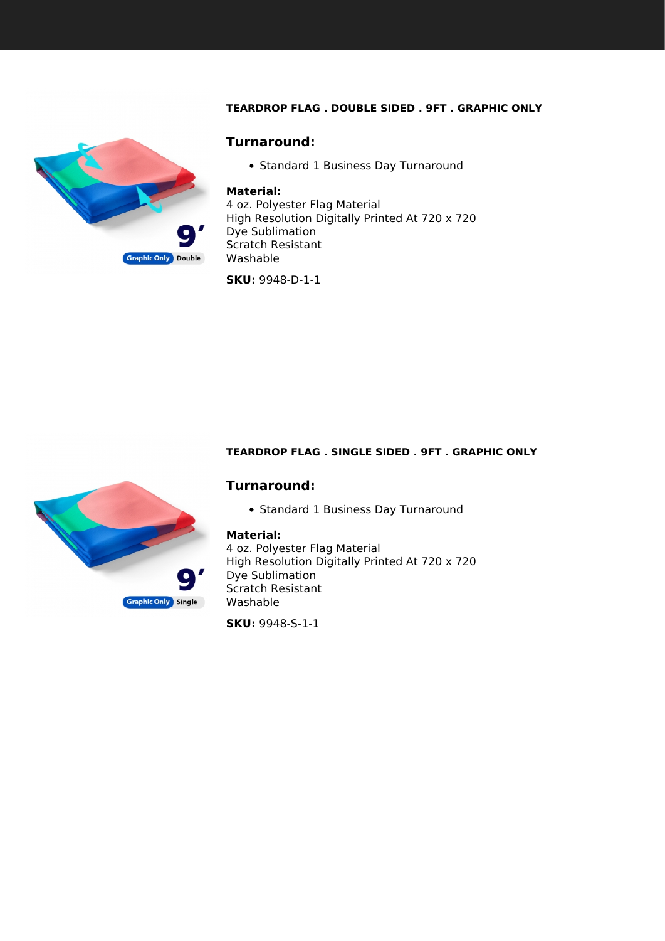## **TEARDROP FLAG . DOUBLE SIDED . 9FT . GRAPHIC ONLY**

<span id="page-3-0"></span>

## **Turnaround:**

• Standard 1 Business Day Turnaround

#### **Material:**

4 oz. Polyester Flag Material High Resolution Digitally Printed At 720 x 720 Dye Sublimation Scratch Resistant Washable

**SKU:** 9948-D-1-1

#### **TEARDROP FLAG . SINGLE SIDED . 9FT . GRAPHIC ONLY**

## **Turnaround:**

• Standard 1 Business Day Turnaround

#### **Material:**

4 oz. Polyester Flag Material High Resolution Digitally Printed At 720 x 720 Dye Sublimation Scratch Resistant Washable

**SKU:** 9948-S-1-1

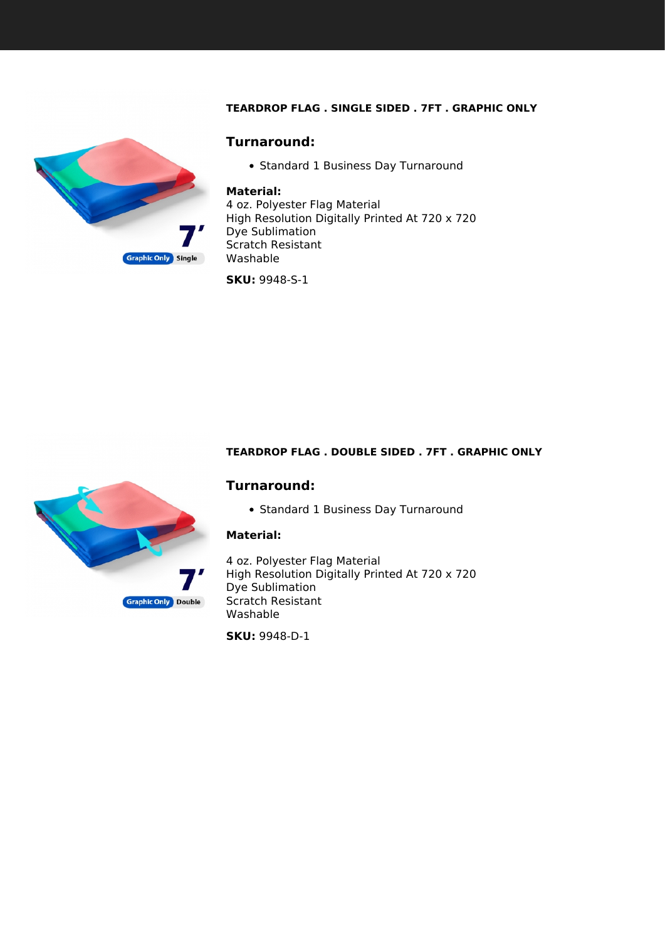## **TEARDROP FLAG . SINGLE SIDED . 7FT . GRAPHIC ONLY**

<span id="page-4-0"></span>

## **Turnaround:**

• Standard 1 Business Day Turnaround

#### **Material:**

4 oz. Polyester Flag Material High Resolution Digitally Printed At 720 x 720 Dye Sublimation Scratch Resistant Washable

**SKU:** 9948-S-1

#### **TEARDROP FLAG . DOUBLE SIDED . 7FT . GRAPHIC ONLY**

## **Turnaround:**

• Standard 1 Business Day Turnaround

## **Material:**

4 oz. Polyester Flag Material High Resolution Digitally Printed At 720 x 720 Dye Sublimation Scratch Resistant Washable

**SKU:** 9948-D-1